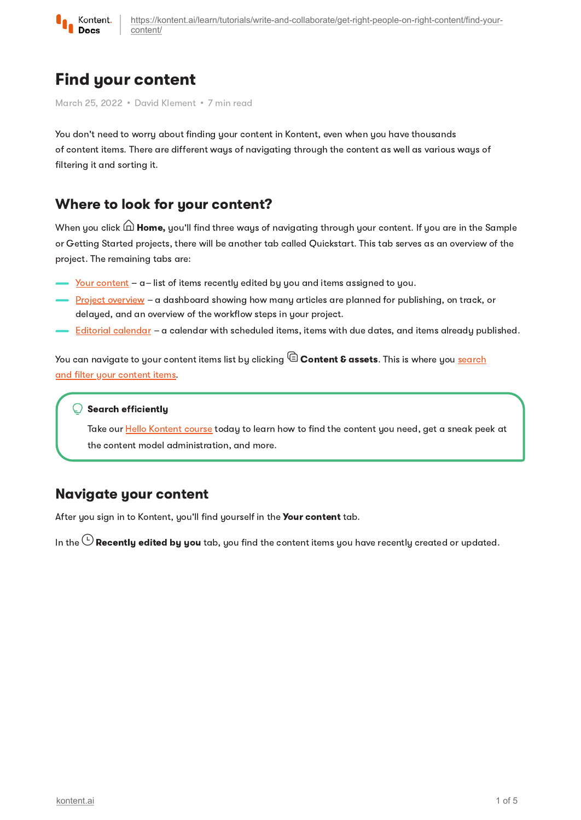

# Find your content

March 25, 2022 · David Klement · 7 min read

You don't need to worry about finding your content in Kontent, even when you have thousands of content items. There are different ways of navigating through the content as well as various ways of filtering it and sorting it.

## Where to look for your content?

When you click  $\widehat{\Box}$  **Home,** you'll find three ways of navigating through your content. If you are in the Sample or Getting Started projects, there will be another tab called Quickstart. This tab serves as an overview of the project. The remaining tabs are:

- $\frac{y}{y}$  Your [content](#page-0-0) a– list of items recently edited by you and items assigned to you.
- Project [overview](https://kontent.ai/learn/tutorials/write-and-collaborate/plan-your-content-release/keep-your-content-production-on-track/) a dashboard showing how many articles are planned for publishing, on track, or delayed, and an overview of the workflow steps in your project.
- Editorial [calendar](https://kontent.ai/learn/tutorials/write-and-collaborate/plan-your-content-release/plan-ahead-with-the-editorial-calendar/) a calendar with scheduled items, items with due dates, and items already published.

You can navigate to your content items list by clicking  $\mathbin{\widehat{\boxdot}}$  [Content](#page-1-0) & assets. This is where you search and filter your content items.

#### Search efficiently

Take our Hello [Kontent](https://kontent.ai/learn/e-learning/hello-kontent/) course today to learn how to find the content you need, get a sneak peek at the content model administration, and more.

## <span id="page-0-0"></span>Navigate your content

After you sign in to Kontent, you'll find yourself in the Your content tab.

In the  $\mathbb O$  Recently edited by you tab, you find the content items you have recently created or updated.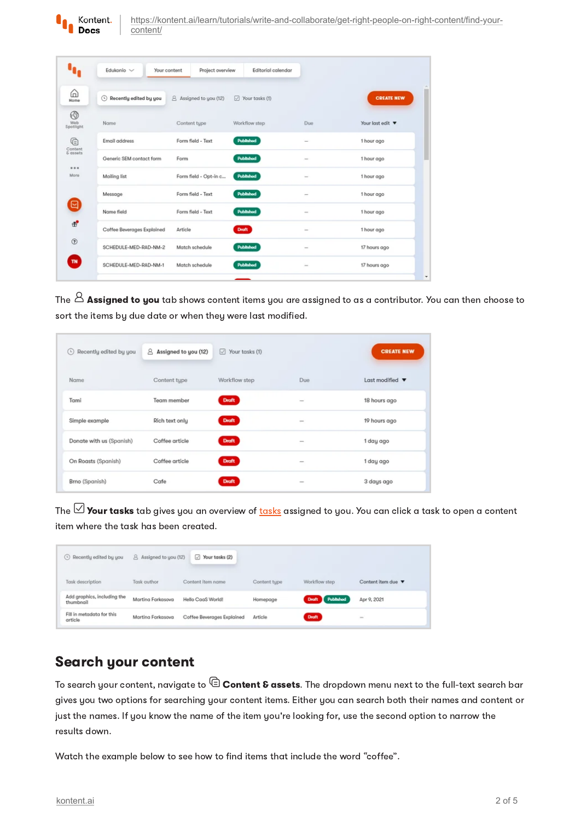

|                       | Edukonio $\vee$<br>Your content | Project overview       | Editorial calendar              |                          |                   |
|-----------------------|---------------------------------|------------------------|---------------------------------|--------------------------|-------------------|
| ⋒<br>Home             | ⊙<br>Recently edited by you     | 8 Assigned to you (12) | $\boxed{\smile}$ Your tasks (1) |                          | <b>CREATE NEW</b> |
| ⊛<br>Web<br>Spotlight | Name                            | Content type           | Workflow step                   | Due                      | Your last edit    |
| ِ ِ                   | Email address                   | Form field - Text      | Published                       | $\overline{\phantom{0}}$ | 1 hour ago        |
| Content<br>& assets   | Generic SEM contact form        | Form                   | Published                       |                          | 1 hour ago        |
| <br>More              | Mailing list                    | Form field - Opt-in c  | Published                       |                          | 1 hour ago        |
|                       | Message                         | Form field - Text      | Published                       |                          | 1 hour ago        |
| ⊌                     | Name field                      | Form field - Text      | Published                       | $\overline{\phantom{a}}$ | 1 hour ago        |
| ď                     | Coffee Beverages Explained      | Article                | <b>Draft</b>                    | $\frac{1}{2}$            | 1 hour ago        |
| $^{\circ}$            | SCHEDULE-MED-RAD-NM-2           | Match schedule         | Published                       | $\overline{\phantom{a}}$ | 17 hours ago      |
| <b>TN</b>             | SCHEDULE-MED-RAD-NM-1           | Match schedule         | Published                       | $\sim$                   | 17 hours ago      |

The  $\mathfrak A$  **Assigned to you** tab shows content items you are assigned to as a contributor. You can then choose to sort the items by due date or when they were last modified.

| Recently edited by you<br>$\left( \begin{matrix} 1 \\ 2 \end{matrix} \right)$ | 8 Assigned to you (12) | $\sqrt{ }$ Your tasks (1) |                          | <b>CREATE NEW</b>                  |
|-------------------------------------------------------------------------------|------------------------|---------------------------|--------------------------|------------------------------------|
| Name                                                                          | Content type           | Workflow step             | Due                      | Last modified $\blacktriangledown$ |
| Tami                                                                          | Team member            | <b>Draft</b>              | -                        | 18 hours ago                       |
| Simple example                                                                | Rich text only         | <b>Draft</b>              | $\sim$                   | 19 hours ago                       |
| Donate with us (Spanish)                                                      | Coffee article         | <b>Draft</b>              | $\overline{\phantom{a}}$ | 1 day ago                          |
| On Roasts (Spanish)                                                           | Coffee article         | <b>Draft</b>              | $\overline{\phantom{a}}$ | 1 day ago                          |
| Brno (Spanish)                                                                | Cafe                   | <b>Draft</b>              | $\hspace{0.5cm}$         | 3 days ago                         |

The  $\overline{\vee}$  **Your [tasks](https://kontent.ai/learn/tutorials/write-and-collaborate/get-right-people-on-right-content/assign-responsibilities-and-set-due-dates/#a-keep-track-with-tasks)** tab aives you an overview of tasks assianed to you. You can click a task to open a content item where the task has been created.

| Recently edited by you                   | 8 Assigned to you (12) | Your tasks (2)<br>M        |              |                        |                  |
|------------------------------------------|------------------------|----------------------------|--------------|------------------------|------------------|
| Task description                         | Task author            | Content item name          | Content tupe | Workflow step          | Content item due |
| Add graphics, including the<br>thumbnail | Martina Farkasova      | Hello CogS World!          | Homepage     | <b>Draft</b> Published | Apr 9, 2021      |
| Fill in metadata for this<br>article     | Martina Farkasova      | Coffee Beverages Explained | Article      | <b>Draft</b>           | $\sim$           |

## <span id="page-1-0"></span>Search your content

To search your content, navigate to  $\mathrel{\textcircled{=}}$  Content & assets. The dropdown menu next to the full-text search bar gives you two options for searching your content items. Either you can search both their names and content or just the names. If you know the name of the item you're looking for, use the second option to narrow the results down.

Watch the example below to see how to find items that include the word "coffee".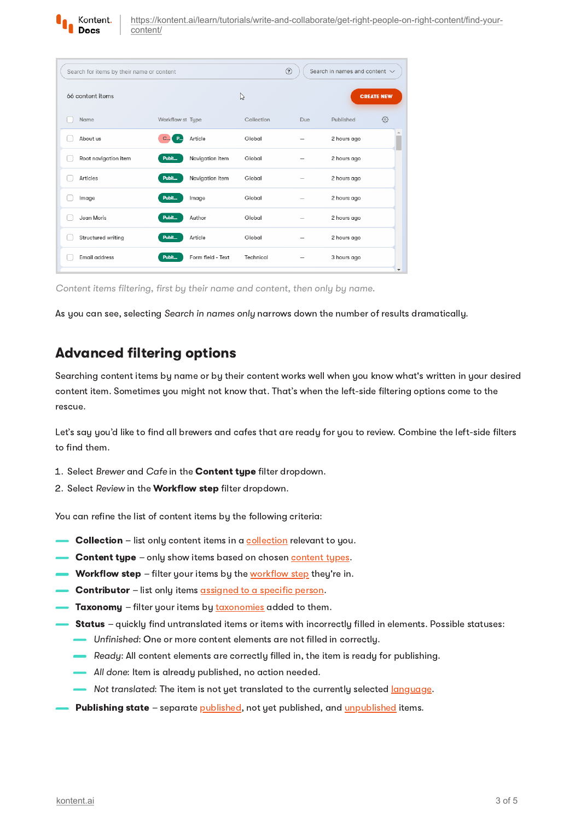

| Search for items by their name or content |  |                           |                   | ℗<br>Search in names and content $\sim$ |     |             |                          |
|-------------------------------------------|--|---------------------------|-------------------|-----------------------------------------|-----|-------------|--------------------------|
| 66 content items                          |  |                           |                   | $\gamma$                                |     |             | <b>CREATE NEW</b>        |
| Name                                      |  | Workflow st Type          |                   | Collection                              | Due | Published   | €                        |
| About us                                  |  | $C_{\cdots}$<br><b>P.</b> | Article           | Global                                  |     | 2 hours ago |                          |
| Root navigation item                      |  | Publi                     | Navigation item   | Global                                  |     | 2 hours ago |                          |
| Articles                                  |  | Publi                     | Navigation item   | Global                                  |     | 2 hours ago |                          |
| Image                                     |  | Publi                     | Image             | Global                                  |     | 2 hours ago |                          |
| Jean Moris                                |  | Publi                     | Author            | Global                                  |     | 2 hours ago |                          |
| Structured writing                        |  | Publi                     | Article           | Global                                  |     | 2 hours ago |                          |
| Email address                             |  | Publi                     | Form field - Text | Technical                               |     | 3 hours ago | $\overline{\phantom{a}}$ |

Content items filtering, first by their name and content, then only by name.

As you can see, selecting Search in names only narrows down the number of results dramatically.

## Advanced filtering options

Searching content items by name or by their content works well when you know what's written in your desired content item. Sometimes you might not know that. That's when the left-side filtering options come to the rescue.

Let's say you'd like to find all brewers and cafes that are ready for you to review. Combine the left-side filters to find them.

- 1. Select Brewer and Cafe in the Content type filter dropdown.
- 2. Select Review in the Workflow step filter dropdown.

You can refine the list of content items by the following criteria:

- Collection list only content items in a [collection](https://kontent.ai/learn/tutorials/set-up-kontent/set-up-your-project/collections/) relevant to you.
- **Content type**  $-$  only show items based on chosen [content](https://kontent.ai/learn/tutorials/manage-kontent/content-modeling/create-and-delete-content-types/) types.
- **Workflow step** filter your items by the [workflow](https://kontent.ai/learn/tutorials/manage-kontent/roles-and-workflow/manage-workflows/) step they're in.
- Contributor list only items [assigned](https://kontent.ai/learn/tutorials/write-and-collaborate/get-right-people-on-right-content/move-items-through-workflow/) to a specific person.
- Taxonomy filter your items by [taxonomies](https://kontent.ai/learn/tutorials/manage-kontent/content-modeling/create-taxonomies/) added to them.
- Status quickly find untranslated items or items with incorrectly filled in elements. Possible statuses:
	- Unfinished: One or more content elements are not filled in correctly.
	- Ready: All content elements are correctly filled in, the item is ready for publishing.
	- All done: Item is already published, no action needed.
	- Not translated: The item is not yet translated to the currently selected *language*.
- P**ublishing state** separate <u>[published,](https://kontent.ai/learn/tutorials/write-and-collaborate/publish-your-work/publish-content-items/)</u> not yet published, and <u>[unpublished](https://kontent.ai/learn/tutorials/write-and-collaborate/publish-your-work/unpublish-content-items/)</u> items.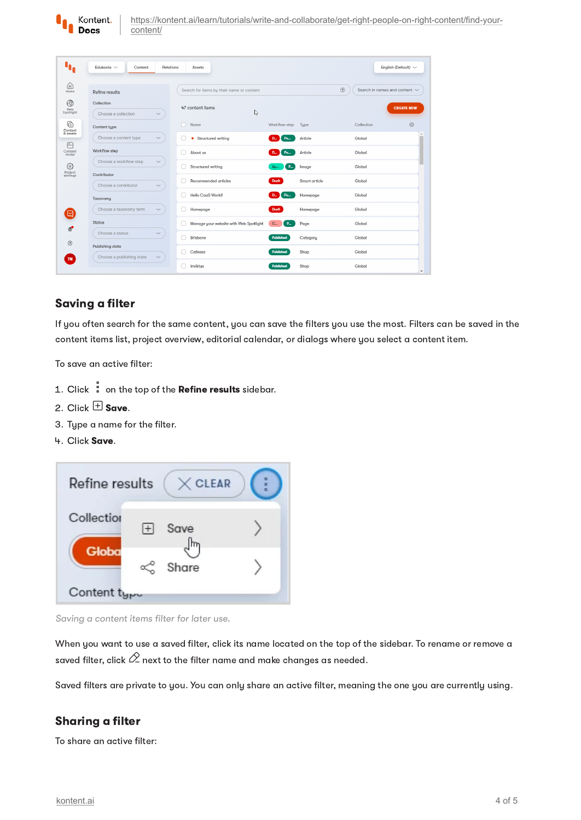

|                                    | Edukonio $\sim$<br>Content<br>Relations                       | Assets                                    |                                  |               | English (Default) ~                |
|------------------------------------|---------------------------------------------------------------|-------------------------------------------|----------------------------------|---------------|------------------------------------|
| ம<br>Home                          | Refine results                                                | Search for items by their name or content |                                  | $^{\circ}$    | Search in names and content $\sim$ |
| $\circledcirc$<br>Wob<br>Spotlight | Collection<br>Choose a collection<br>$\check{~}$              | 47 content items<br>B                     |                                  |               | <b>CREATE NEW</b>                  |
| G<br>Content                       | Content type                                                  | Name                                      | Workflow step                    | Type          | €<br>Collection                    |
| & assets                           | Choose a content type<br>$\check{~}$                          | Structured writing<br>٠                   | <b>Pu</b>                        | Article       | Global                             |
| A<br>Content<br>model              | Workflow step                                                 | About us                                  | Pu<br><b>D.,</b>                 | Article       | Global                             |
| €                                  | Choose a workflow step<br>$\check{~}$                         | Structured writing                        | P<br>Ap                          | Image         | Global                             |
| Project<br>settings                | Contributor<br>Choose a contributor<br>$\checkmark$           | Recommended articles                      | <b>Draft</b>                     | Smart article | Global                             |
|                                    | Taxonomy                                                      | Hello CaaS World!                         | $\Gamma$ Pu<br><b>D.</b> .       | Homepage      | Global                             |
| ⊡                                  | Choose a taxonomy term<br>$\check{~}$                         | Homepage                                  | <b>Draft</b>                     | Homepage      | Global                             |
| €                                  | <b>Status</b>                                                 | Manage your website with Web Spotlight    | $\mathbf{C}$<br>$P_{\text{max}}$ | Page          | Global                             |
|                                    | Choose a status<br>$\smallsmile$                              | Brisbane                                  | Published                        | Category      | Global                             |
| $^{\circ}$                         | Publishing state<br>Choose a publishing state<br>$\checkmark$ | Cafessa                                   | Published                        | Shop          | Global                             |
| TN                                 |                                                               | Inviktus                                  | Published                        | Shop          | Global<br>$\mathbf{v}$             |

#### Saving a filter

If you often search for the same content, you can save the filters you use the most. Filters can be saved in the content items list, project overview, editorial calendar, or dialogs where you select a content item.

To save an active filter:

- 1. Click  $\frac{a}{b}$  on the top of the **Refine results** sidebar.
- 2. Click  $\boxplus$  Save.
- 3. Type a name for the filter.
- 4. Click Save.



Saving a content items filter for later use.

When you want to use a saved filter, click its name located on the top of the sidebar. To rename or remove a saved filter, click  $\oslash$  next to the filter name and make changes as needed.

Saved filters are private to you. You can only share an active filter, meaning the one you are currently using.

#### Sharing a filter

To share an active filter: